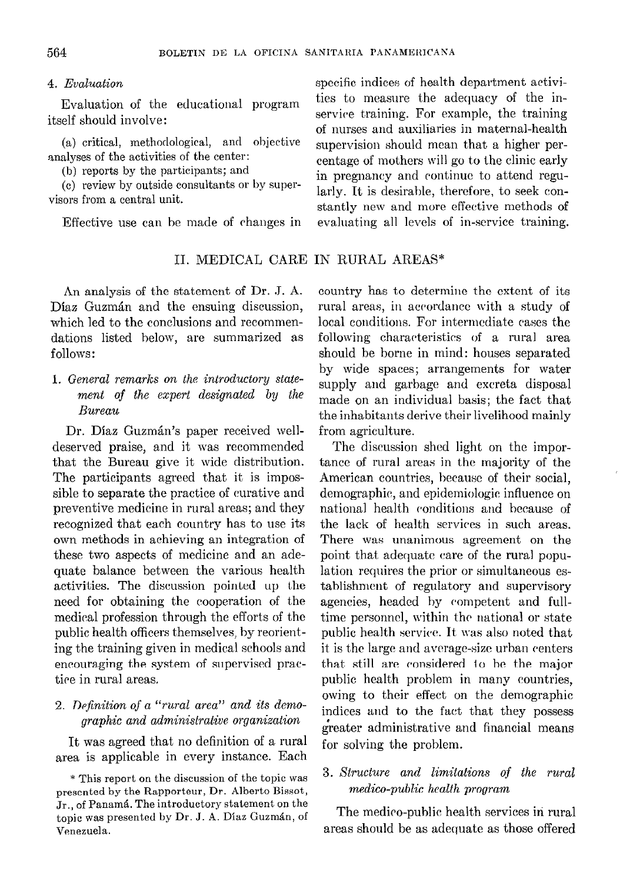### 4. Evaluation

Evaluation of the educational itself should involve :

(a) critical, methodological, and analyses of the activities of the center:

(h) reports by the participants; and

(c) review by outside consultants or by super-(c) review by outside consumants or by super-<br>visors from a central unit.

## II. MEDICAL CARE IN RURAL AREAS"

An analysis of the statement of Dr. J. A. Díaz Guzmán and the ensuing discussion, which led to the conclusions and recommendations listed below, are summarized as follows:

# 1. General remarks on the introductory statement qf the expert designated by the Bureau

Dr. Díaz Guzmán's paper received welldeserved praise, and it was recommended that the Bureau give it mide distribution. The participants agreed that it is impossible to separate the practice of curative and preventive medicine in rural areas; and they recognized that each country has to use its own methods in achieving an integration of these two aspects of medicine and an adequate balance between the various health activities. The discussion pointed up the need for obtaining the cooperation of the medical profession through the efforts of the public health officers themselves, by reorienting the training given in medical schools and encouraging the system of supervised practire in rural areas.

## 2. Definition of a "rural area" and its demographic and adminisfrative organization

It was agreed that no definition of a rural area is applicable in every instance. Each

specifc indices of health department activities to measure the adequacy of the inservice training. For example, the training of nurses and auxiliaries in maternal-health supervision should mean that a higher percentage of mothers will go to the clinic early in pregnancy and continuc to attend regustantly new and more effective methods of Effective use can be made of changes in evaluating all levels of in-service training.

> country has to determine the extent of its rural areas, in accordancc with a study of local conditions. For intermediate cases the following characteristics of a rural area should be borne in mind: houses separated by wide spaces; arrangements for water supply and garbage and excreta disposal made on an individual basis; the fact that the inhabitants derive their livelihood mainly from agriculture.

> The discussion shed light on the importance of rural areas in the majority of the American countries, because of their social, demographic, and epidemiologic influence on national health conditions and because of the lack of health services in such areas. There was unanimous agreement on the point that adequate care of the rural population requires the prior or simultaneous establishmcnt of regulatory and supervisory agencies, headed hy competent and fulltime personnel, within the national or state public health service. It was also noted that it is thc large and avcrage-size urban centers that, still are considered to he the major public health problem in many countries, owing to their effect on the demographic indices and to the fact that they possess greater administrative and financia1 means for solving the problem.

### 3. Xtructure and limitations of the rural medico-public healfh program

The medico-puhlic health services in rural Venezuela. areas should be as adequate as those offered

<sup>\*</sup> This report on the discussion of the topic was presented by the Rapporteur, Dr. Alberto Bissot,  $J_{\rm r.,\; of}$  Panamá. The introductory statement on the topic was presented by Dr. J. A. Díaz Guzmán, of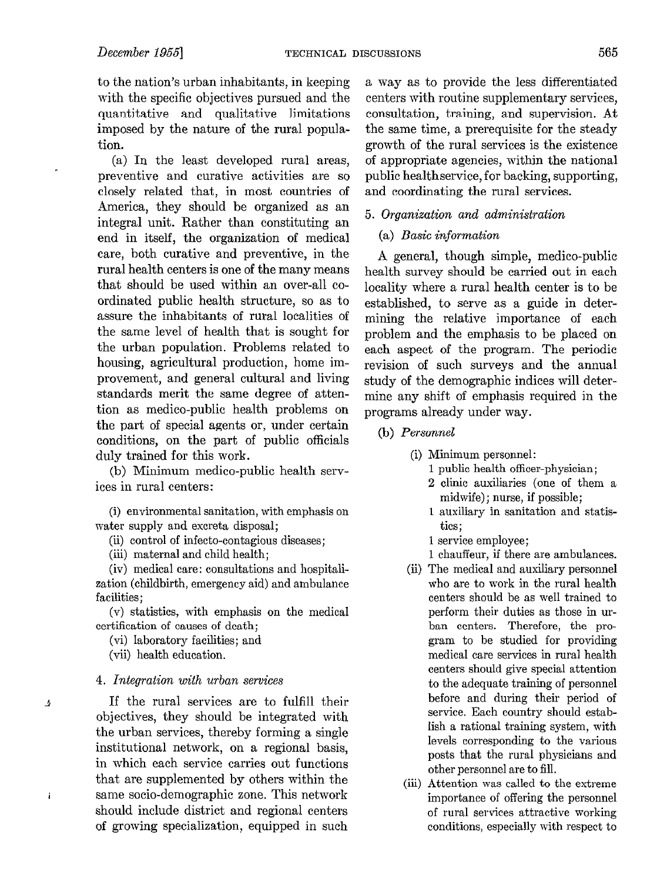to the nation's urban inhabitants, in keeping with the specific objectives pursued and the quantitative and qualitative limitations imposed by the nature of the rural population.

(a) In the least developed rural areas, preventive and curative activities are so closely related that, in most countries of America, they should be organized as an integral unit. Rather than constituting an end in itself, the organization of medical care, both curative and preventive, in the rural health centers is one of the many means that should be used within an over-al1 coordinated public health structure, so as to assure the inhabitants of rural localities of the same leve1 of health that is sought for the urban population. Problems related to housing, agricultura1 production, home improvement, and general cultural and living standards merit the same degree of attention as medico-public health problems on the part of special agents or, under certain conditions, on the part of public officials duly trained for this work.

(b) Minimum medico-public health services in rural centers:

(i) environmental sanitation, with emphasis on water supply and excreta disposal;

(ii) control of infecto-contagious diseases;

(iii) maternal and Child health;

(iv) medical care: consultations and hospitalization (childbirth, emergency aid) and ambulance facilities;

(v) statistics, with emphasis on the medical certification of causes of death;

(vi) laboratory facilities; and

(vii) health education.

 $\pmb{\Delta}$ 

İ

#### 4. Integration with urban services

If the rural services are to fulfill their objectives, they should be integrated with the urban services, thereby forming a single institutional network, on a regional basis, in which each service carries out functions that are supplemented by others within the same socio-demographic zone. This network should include district and regional centers of growing specialization, equipped in such

a way as to provide the less differentiated centers with routine supplementary services, consultation, training, and supervision. At the same time, a prerequisite for the steady growth of the rural services is the existence of appropriate agencies, within the national public healthservice, for hacking, supporting, and coordinating the rural services.

#### 5. Organixation and administration

#### $(a)$  Basic information

A general, though simple, medico-public health survey should be carried out in each locality where a rural health center is to be established, to serve as a guide in determining the relative importance of each problem and the emphasis to be placed on each aspect of the program. The periodic revision of such surveys and the annual study of the demographic indices will determine any shift of emphasis required in the programs already under way.

(b) Personneì

(i) Minimum personnel:

1 public health officer-physician;

- 2 clinic auxiliaries (one of them a midwife); nurse, if possible;
- 1 auxiliary in sanitation and statistics;
- 1 service employee;
- 1 chauffeur, if there are ambulances.
- (ii) The medical and auxiliary personnel who are to work in the rural health centers should be as well trained to perform their duties as those in urban centers. Therefore, the program to be studied for providing medical care services in rural health centers should give special attention to the adequate training of personnel before and during their period of service. Each country should estab-Iish a rational training system, with levels corresponding to the various posts that the rural physicians and other personnel are to fill.
- (iii) Attention was called to the extreme importance of offering the personnel of rural services attractive working conditions, especially with respect to